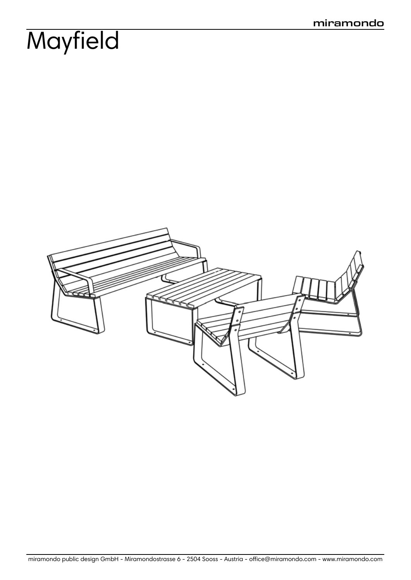# **Mayfield**

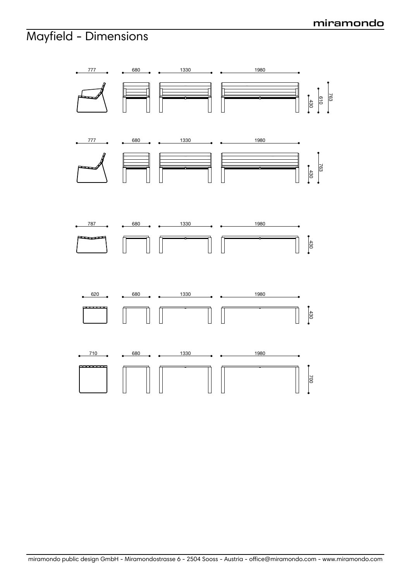### **miramondo**

### Mayfield - Dimensions

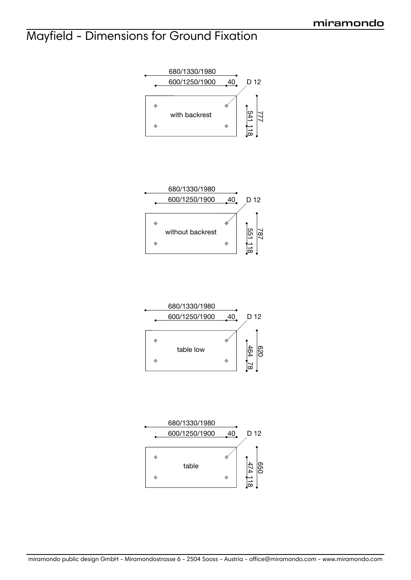## Mayfield - Dimensions for Ground Fixation









miramondo public design GmbH - Miramondostrasse 6 - 2504 Sooss - Austria - office@miramondo.com - www.miramondo.com